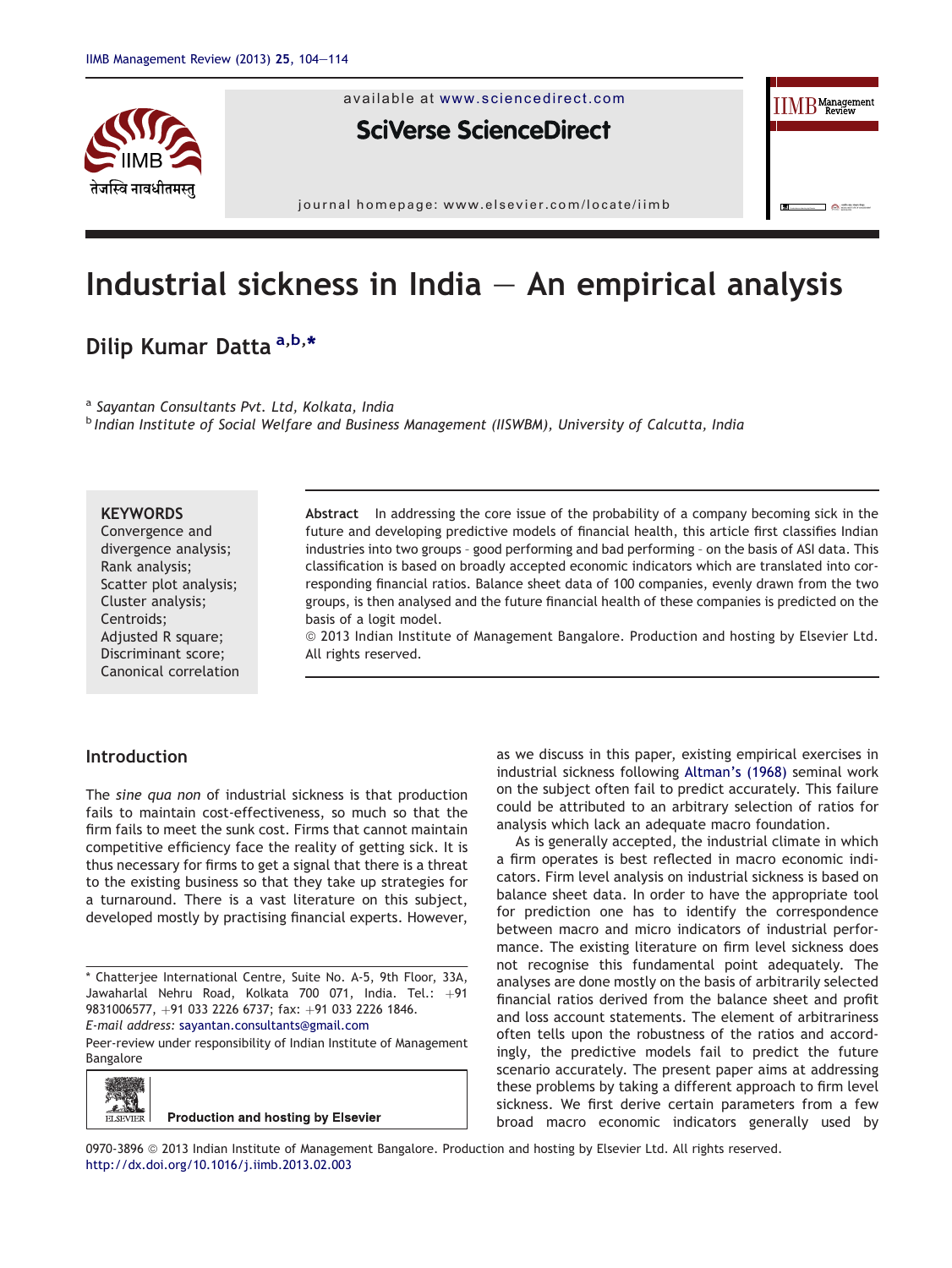

available at [www.sciencedirect.com](www.sciencedirect.com/science/journal/09703896)

**SciVerse ScienceDirect** 

journal homepage: [www.elsevier.com/locate/iimb](http://www.elsevier.com/locate/iimb)

# Industrial sickness in India  $-$  An empirical analysis

# Dilip Kumar Datta <sup>a,b,\*</sup>

<sup>a</sup> Sayantan Consultants Pvt. Ltd, Kolkata, India

**b** Indian Institute of Social Welfare and Business Management (IISWBM), University of Calcutta, India

#### **KEYWORDS**

Convergence and divergence analysis; Rank analysis; Scatter plot analysis; Cluster analysis; Centroids; Adjusted R square; Discriminant score; Canonical correlation

Abstract In addressing the core issue of the probability of a company becoming sick in the future and developing predictive models of financial health, this article first classifies Indian industries into two groups – good performing and bad performing – on the basis of ASI data. This classification is based on broadly accepted economic indicators which are translated into corresponding financial ratios. Balance sheet data of 100 companies, evenly drawn from the two groups, is then analysed and the future financial health of these companies is predicted on the basis of a logit model.

ª 2013 Indian Institute of Management Bangalore. Production and hosting by Elsevier Ltd. All rights reserved.

# Introduction

The sine qua non of industrial sickness is that production fails to maintain cost-effectiveness, so much so that the firm fails to meet the sunk cost. Firms that cannot maintain competitive efficiency face the reality of getting sick. It is thus necessary for firms to get a signal that there is a threat to the existing business so that they take up strategies for a turnaround. There is a vast literature on this subject, developed mostly by practising financial experts. However,

\* Chatterjee International Centre, Suite No. A-5, 9th Floor, 33A, Jawaharlal Nehru Road, Kolkata 700 071, India. Tel.:  $+91$ 9831006577, +91 033 2226 6737; fax: +91 033 2226 1846. E-mail address: [sayantan.consultants@gmail.com](mailto:sayantan.consultants@gmail.com)

Peer-review under responsibility of Indian Institute of Management Bangalore



as we discuss in this paper, existing empirical exercises in industrial sickness following [Altman's \(1968\)](#page-10-0) seminal work on the subject often fail to predict accurately. This failure could be attributed to an arbitrary selection of ratios for analysis which lack an adequate macro foundation.

**IIMB** Management

 $\Box$   $\triangle$  means

As is generally accepted, the industrial climate in which a firm operates is best reflected in macro economic indicators. Firm level analysis on industrial sickness is based on balance sheet data. In order to have the appropriate tool for prediction one has to identify the correspondence between macro and micro indicators of industrial performance. The existing literature on firm level sickness does not recognise this fundamental point adequately. The analyses are done mostly on the basis of arbitrarily selected financial ratios derived from the balance sheet and profit and loss account statements. The element of arbitrariness often tells upon the robustness of the ratios and accordingly, the predictive models fail to predict the future scenario accurately. The present paper aims at addressing these problems by taking a different approach to firm level sickness. We first derive certain parameters from a few broad macro economic indicators generally used by

0970-3896 @ 2013 Indian Institute of Management Bangalore. Production and hosting by Elsevier Ltd. All rights reserved. <http://dx.doi.org/10.1016/j.iimb.2013.02.003>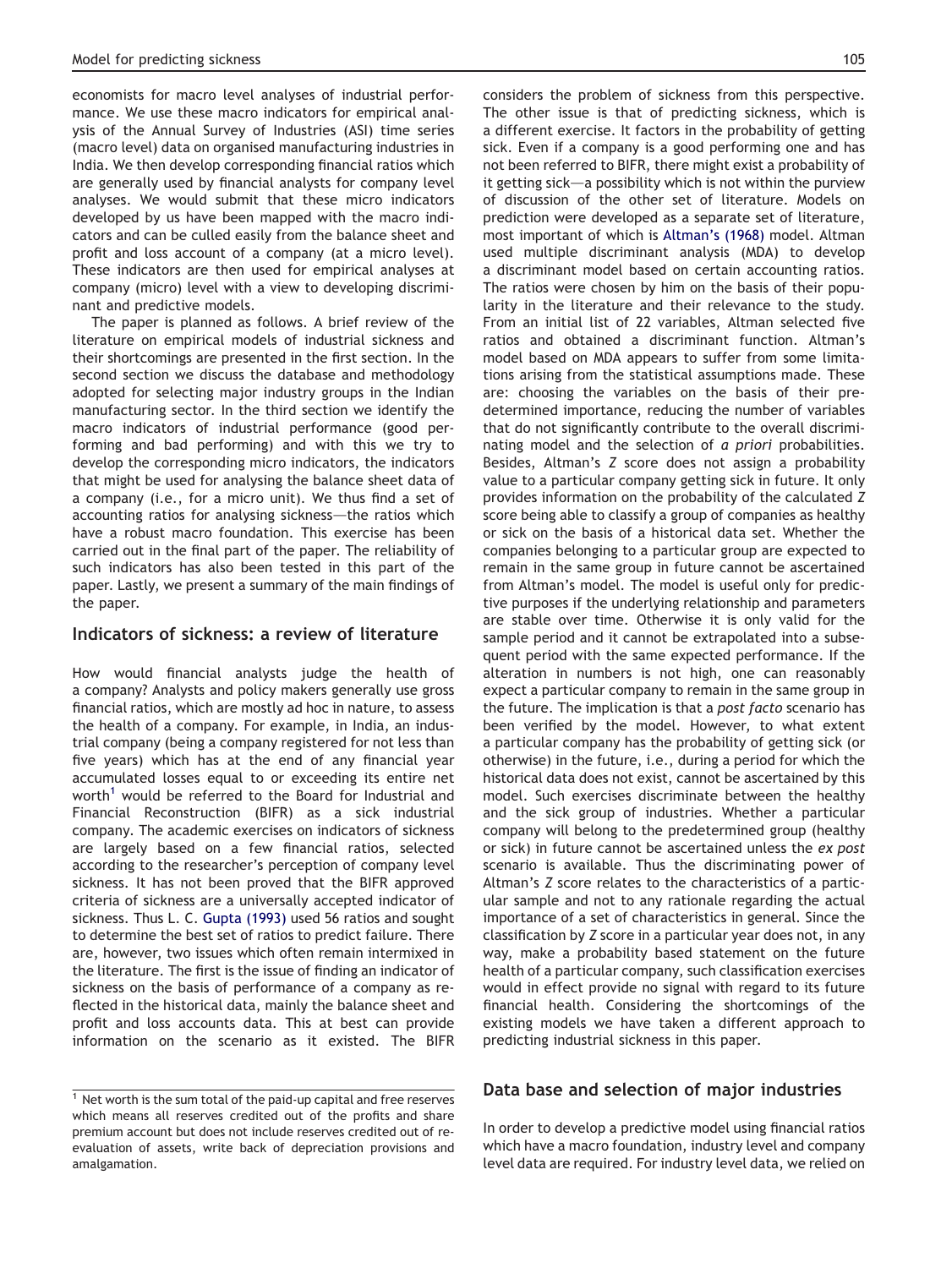economists for macro level analyses of industrial performance. We use these macro indicators for empirical analysis of the Annual Survey of Industries (ASI) time series (macro level) data on organised manufacturing industries in India. We then develop corresponding financial ratios which are generally used by financial analysts for company level analyses. We would submit that these micro indicators developed by us have been mapped with the macro indicators and can be culled easily from the balance sheet and profit and loss account of a company (at a micro level). These indicators are then used for empirical analyses at company (micro) level with a view to developing discriminant and predictive models.

The paper is planned as follows. A brief review of the literature on empirical models of industrial sickness and their shortcomings are presented in the first section. In the second section we discuss the database and methodology adopted for selecting major industry groups in the Indian manufacturing sector. In the third section we identify the macro indicators of industrial performance (good performing and bad performing) and with this we try to develop the corresponding micro indicators, the indicators that might be used for analysing the balance sheet data of a company (i.e., for a micro unit). We thus find a set of accounting ratios for analysing sickness—the ratios which have a robust macro foundation. This exercise has been carried out in the final part of the paper. The reliability of such indicators has also been tested in this part of the paper. Lastly, we present a summary of the main findings of the paper.

#### Indicators of sickness: a review of literature

How would financial analysts judge the health of a company? Analysts and policy makers generally use gross financial ratios, which are mostly ad hoc in nature, to assess the health of a company. For example, in India, an industrial company (being a company registered for not less than five years) which has at the end of any financial year accumulated losses equal to or exceeding its entire net worth<sup>1</sup> would be referred to the Board for Industrial and Financial Reconstruction (BIFR) as a sick industrial company. The academic exercises on indicators of sickness are largely based on a few financial ratios, selected according to the researcher's perception of company level sickness. It has not been proved that the BIFR approved criteria of sickness are a universally accepted indicator of sickness. Thus L. C. [Gupta \(1993\)](#page-10-0) used 56 ratios and sought to determine the best set of ratios to predict failure. There are, however, two issues which often remain intermixed in the literature. The first is the issue of finding an indicator of sickness on the basis of performance of a company as reflected in the historical data, mainly the balance sheet and profit and loss accounts data. This at best can provide information on the scenario as it existed. The BIFR considers the problem of sickness from this perspective. The other issue is that of predicting sickness, which is a different exercise. It factors in the probability of getting sick. Even if a company is a good performing one and has not been referred to BIFR, there might exist a probability of it getting sick $-a$  possibility which is not within the purview of discussion of the other set of literature. Models on prediction were developed as a separate set of literature, most important of which is [Altman's \(1968\)](#page-10-0) model. Altman used multiple discriminant analysis (MDA) to develop a discriminant model based on certain accounting ratios. The ratios were chosen by him on the basis of their popularity in the literature and their relevance to the study. From an initial list of 22 variables, Altman selected five ratios and obtained a discriminant function. Altman's model based on MDA appears to suffer from some limitations arising from the statistical assumptions made. These are: choosing the variables on the basis of their predetermined importance, reducing the number of variables that do not significantly contribute to the overall discriminating model and the selection of a priori probabilities. Besides, Altman's Z score does not assign a probability value to a particular company getting sick in future. It only provides information on the probability of the calculated Z score being able to classify a group of companies as healthy or sick on the basis of a historical data set. Whether the companies belonging to a particular group are expected to remain in the same group in future cannot be ascertained from Altman's model. The model is useful only for predictive purposes if the underlying relationship and parameters are stable over time. Otherwise it is only valid for the sample period and it cannot be extrapolated into a subsequent period with the same expected performance. If the alteration in numbers is not high, one can reasonably expect a particular company to remain in the same group in the future. The implication is that a post facto scenario has been verified by the model. However, to what extent a particular company has the probability of getting sick (or otherwise) in the future, i.e., during a period for which the historical data does not exist, cannot be ascertained by this model. Such exercises discriminate between the healthy and the sick group of industries. Whether a particular company will belong to the predetermined group (healthy or sick) in future cannot be ascertained unless the ex post scenario is available. Thus the discriminating power of Altman's Z score relates to the characteristics of a particular sample and not to any rationale regarding the actual importance of a set of characteristics in general. Since the classification by Z score in a particular year does not, in any way, make a probability based statement on the future health of a particular company, such classification exercises would in effect provide no signal with regard to its future financial health. Considering the shortcomings of the existing models we have taken a different approach to predicting industrial sickness in this paper.

#### Data base and selection of major industries

In order to develop a predictive model using financial ratios which have a macro foundation, industry level and company level data are required. For industry level data, we relied on

 $1$  Net worth is the sum total of the paid-up capital and free reserves which means all reserves credited out of the profits and share premium account but does not include reserves credited out of reevaluation of assets, write back of depreciation provisions and amalgamation.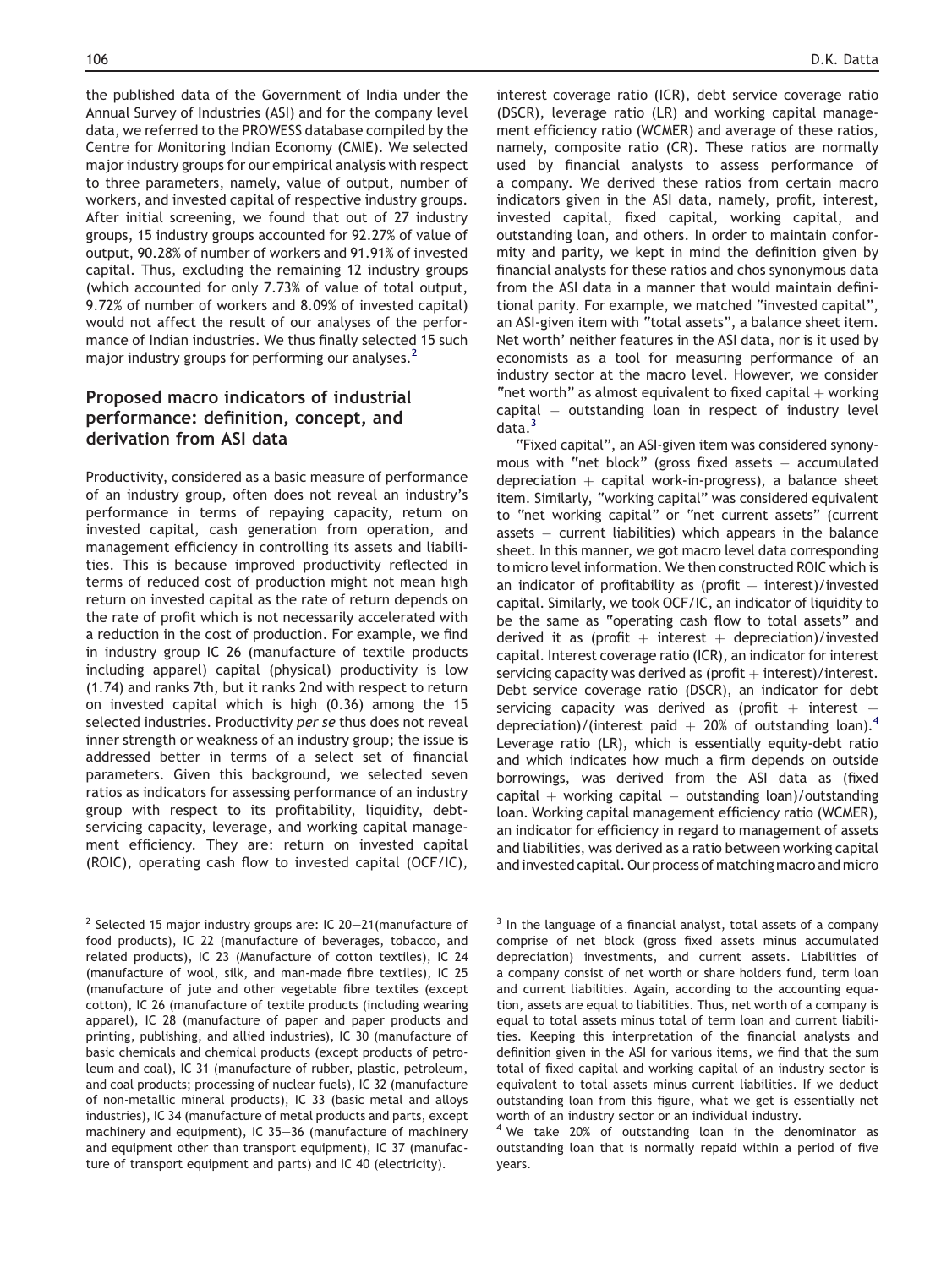the published data of the Government of India under the Annual Survey of Industries (ASI) and for the company level data, we referred to the PROWESS database compiled by the Centre for Monitoring Indian Economy (CMIE). We selected major industry groups for our empirical analysis with respect to three parameters, namely, value of output, number of workers, and invested capital of respective industry groups. After initial screening, we found that out of 27 industry groups, 15 industry groups accounted for 92.27% of value of output, 90.28% of number of workers and 91.91% of invested capital. Thus, excluding the remaining 12 industry groups (which accounted for only 7.73% of value of total output, 9.72% of number of workers and 8.09% of invested capital) would not affect the result of our analyses of the performance of Indian industries. We thus finally selected 15 such major industry groups for performing our analyses.<sup>2</sup>

# Proposed macro indicators of industrial performance: definition, concept, and derivation from ASI data

Productivity, considered as a basic measure of performance of an industry group, often does not reveal an industry's performance in terms of repaying capacity, return on invested capital, cash generation from operation, and management efficiency in controlling its assets and liabilities. This is because improved productivity reflected in terms of reduced cost of production might not mean high return on invested capital as the rate of return depends on the rate of profit which is not necessarily accelerated with a reduction in the cost of production. For example, we find in industry group IC 26 (manufacture of textile products including apparel) capital (physical) productivity is low (1.74) and ranks 7th, but it ranks 2nd with respect to return on invested capital which is high (0.36) among the 15 selected industries. Productivity per se thus does not reveal inner strength or weakness of an industry group; the issue is addressed better in terms of a select set of financial parameters. Given this background, we selected seven ratios as indicators for assessing performance of an industry group with respect to its profitability, liquidity, debtservicing capacity, leverage, and working capital management efficiency. They are: return on invested capital (ROIC), operating cash flow to invested capital (OCF/IC),

interest coverage ratio (ICR), debt service coverage ratio (DSCR), leverage ratio (LR) and working capital management efficiency ratio (WCMER) and average of these ratios, namely, composite ratio (CR). These ratios are normally used by financial analysts to assess performance of a company. We derived these ratios from certain macro indicators given in the ASI data, namely, profit, interest, invested capital, fixed capital, working capital, and outstanding loan, and others. In order to maintain conformity and parity, we kept in mind the definition given by financial analysts for these ratios and chos synonymous data from the ASI data in a manner that would maintain definitional parity. For example, we matched "invested capital", an ASI-given item with "total assets", a balance sheet item. Net worth' neither features in the ASI data, nor is it used by economists as a tool for measuring performance of an industry sector at the macro level. However, we consider "net worth" as almost equivalent to fixed capital  $+$  working capital - outstanding loan in respect of industry level data.<sup>3</sup>

"Fixed capital", an ASI-given item was considered synonymous with "net block" (gross fixed assets – accumulated depreciation  $+$  capital work-in-progress), a balance sheet item. Similarly, "working capital" was considered equivalent to "net working capital" or "net current assets" (current assets – current liabilities) which appears in the balance sheet. In this manner, we got macro level data corresponding to micro level information. We then constructed ROIC which is an indicator of profitability as (profit  $+$  interest)/invested capital. Similarly, we took OCF/IC, an indicator of liquidity to be the same as "operating cash flow to total assets" and derived it as (profit  $+$  interest  $+$  depreciation)/invested capital. Interest coverage ratio (ICR), an indicator for interest servicing capacity was derived as (profit  $+$  interest)/interest. Debt service coverage ratio (DSCR), an indicator for debt servicing capacity was derived as (profit  $+$  interest  $+$ depreciation)/(interest paid  $+$  20% of outstanding loan).<sup>4</sup> Leverage ratio (LR), which is essentially equity-debt ratio and which indicates how much a firm depends on outside borrowings, was derived from the ASI data as (fixed  $\textsf{capital} + \textsf{working capital} - \textsf{outstanding loan})/\textsf{outstanding}$ loan. Working capital management efficiency ratio (WCMER), an indicator for efficiency in regard to management of assets and liabilities, was derived as a ratio between working capital andinvested capital. Our process of matching macro and micro

 $2$  Selected 15 major industry groups are: IC 20-21(manufacture of food products), IC 22 (manufacture of beverages, tobacco, and related products), IC 23 (Manufacture of cotton textiles), IC 24 (manufacture of wool, silk, and man-made fibre textiles), IC 25 (manufacture of jute and other vegetable fibre textiles (except cotton), IC 26 (manufacture of textile products (including wearing apparel), IC 28 (manufacture of paper and paper products and printing, publishing, and allied industries), IC 30 (manufacture of basic chemicals and chemical products (except products of petroleum and coal), IC 31 (manufacture of rubber, plastic, petroleum, and coal products; processing of nuclear fuels), IC 32 (manufacture of non-metallic mineral products), IC 33 (basic metal and alloys industries), IC 34 (manufacture of metal products and parts, except machinery and equipment), IC 35-36 (manufacture of machinery and equipment other than transport equipment), IC 37 (manufacture of transport equipment and parts) and IC 40 (electricity).

<sup>&</sup>lt;sup>3</sup> In the language of a financial analyst, total assets of a company comprise of net block (gross fixed assets minus accumulated depreciation) investments, and current assets. Liabilities of a company consist of net worth or share holders fund, term loan and current liabilities. Again, according to the accounting equation, assets are equal to liabilities. Thus, net worth of a company is equal to total assets minus total of term loan and current liabilities. Keeping this interpretation of the financial analysts and definition given in the ASI for various items, we find that the sum total of fixed capital and working capital of an industry sector is equivalent to total assets minus current liabilities. If we deduct outstanding loan from this figure, what we get is essentially net worth of an industry sector or an individual industry.

<sup>4</sup> We take 20% of outstanding loan in the denominator as outstanding loan that is normally repaid within a period of five years.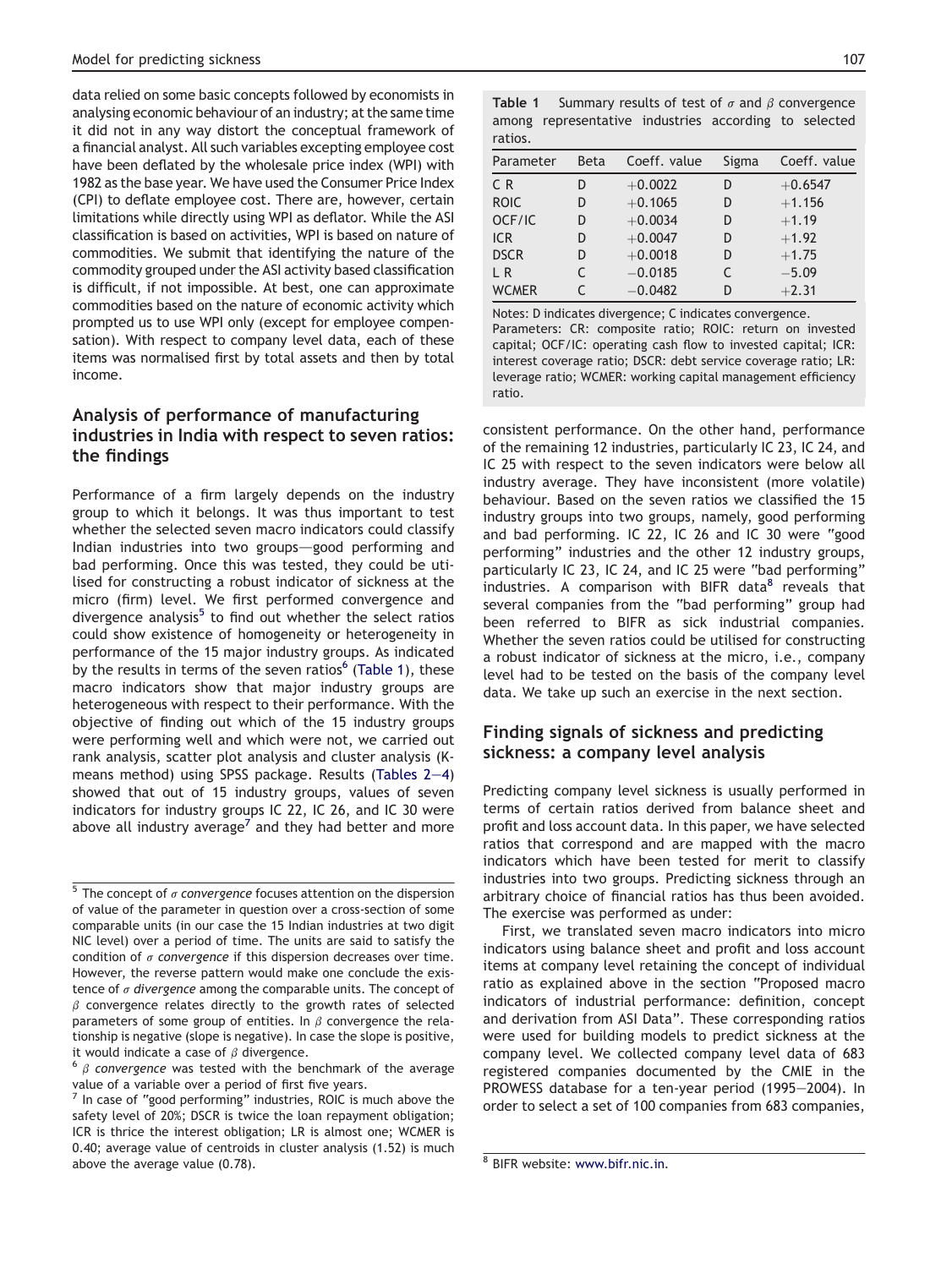data relied on some basic concepts followed by economists in analysing economic behaviour of an industry; at the same time it did not in any way distort the conceptual framework of a financial analyst. All such variables excepting employee cost have been deflated by the wholesale price index (WPI) with 1982 as the base year. We have used the Consumer Price Index (CPI) to deflate employee cost. There are, however, certain limitations while directly using WPI as deflator. While the ASI classification is based on activities, WPI is based on nature of commodities. We submit that identifying the nature of the commodity grouped under the ASI activity based classification is difficult, if not impossible. At best, one can approximate commodities based on the nature of economic activity which prompted us to use WPI only (except for employee compensation). With respect to company level data, each of these items was normalised first by total assets and then by total income.

# Analysis of performance of manufacturing industries in India with respect to seven ratios: the findings

Performance of a firm largely depends on the industry group to which it belongs. It was thus important to test whether the selected seven macro indicators could classify Indian industries into two groups-good performing and bad performing. Once this was tested, they could be utilised for constructing a robust indicator of sickness at the micro (firm) level. We first performed convergence and divergence analysis<sup>5</sup> to find out whether the select ratios could show existence of homogeneity or heterogeneity in performance of the 15 major industry groups. As indicated by the results in terms of the seven ratios $6$  (Table 1), these macro indicators show that major industry groups are heterogeneous with respect to their performance. With the objective of finding out which of the 15 industry groups were performing well and which were not, we carried out rank analysis, scatter plot analysis and cluster analysis (Kmeans method) using SPSS package. Results (Tables  $2-4$  $2-4$ ) showed that out of 15 industry groups, values of seven indicators for industry groups IC 22, IC 26, and IC 30 were above all industry average<sup> $\prime$ </sup> and they had better and more

|         | <b>Table 1</b> Summary results of test of $\sigma$ and $\beta$ convergence |  |  |
|---------|----------------------------------------------------------------------------|--|--|
|         | among representative industries according to selected                      |  |  |
| ratios. |                                                                            |  |  |

| Parameter      | <b>Beta</b> | Coeff. value | Sigma | Coeff. value |
|----------------|-------------|--------------|-------|--------------|
| C <sub>R</sub> | D           | $+0.0022$    | D     | $+0.6547$    |
| <b>ROIC</b>    | D           | $+0.1065$    | D     | $+1.156$     |
| OCF/IC         | D           | $+0.0034$    | D     | $+1.19$      |
| <b>ICR</b>     | D           | $+0.0047$    | D     | $+1.92$      |
| <b>DSCR</b>    | D           | $+0.0018$    | D     | $+1.75$      |
| L R            |             | $-0.0185$    |       | $-5.09$      |
| <b>WCMER</b>   |             | $-0.0482$    | D     | $+2.31$      |

Notes: D indicates divergence; C indicates convergence. Parameters: CR: composite ratio; ROIC: return on invested capital; OCF/IC: operating cash flow to invested capital; ICR: interest coverage ratio; DSCR: debt service coverage ratio; LR: leverage ratio; WCMER: working capital management efficiency ratio.

consistent performance. On the other hand, performance of the remaining 12 industries, particularly IC 23, IC 24, and IC 25 with respect to the seven indicators were below all industry average. They have inconsistent (more volatile) behaviour. Based on the seven ratios we classified the 15 industry groups into two groups, namely, good performing and bad performing. IC 22, IC 26 and IC 30 were "good performing" industries and the other 12 industry groups, particularly IC 23, IC 24, and IC 25 were "bad performing" industries. A comparison with BIFR data<sup>8</sup> reveals that several companies from the "bad performing" group had been referred to BIFR as sick industrial companies. Whether the seven ratios could be utilised for constructing a robust indicator of sickness at the micro, i.e., company level had to be tested on the basis of the company level data. We take up such an exercise in the next section.

# Finding signals of sickness and predicting sickness: a company level analysis

Predicting company level sickness is usually performed in terms of certain ratios derived from balance sheet and profit and loss account data. In this paper, we have selected ratios that correspond and are mapped with the macro indicators which have been tested for merit to classify industries into two groups. Predicting sickness through an arbitrary choice of financial ratios has thus been avoided. The exercise was performed as under:

First, we translated seven macro indicators into micro indicators using balance sheet and profit and loss account items at company level retaining the concept of individual ratio as explained above in the section "Proposed macro indicators of industrial performance: definition, concept and derivation from ASI Data". These corresponding ratios were used for building models to predict sickness at the company level. We collected company level data of 683 registered companies documented by the CMIE in the PROWESS database for a ten-year period (1995-2004). In order to select a set of 100 companies from 683 companies,

 $5$  The concept of  $\sigma$  convergence focuses attention on the dispersion of value of the parameter in question over a cross-section of some comparable units (in our case the 15 Indian industries at two digit NIC level) over a period of time. The units are said to satisfy the condition of  $\sigma$  convergence if this dispersion decreases over time. However, the reverse pattern would make one conclude the existence of  $\sigma$  divergence among the comparable units. The concept of  $\beta$  convergence relates directly to the growth rates of selected parameters of some group of entities. In  $\beta$  convergence the relationship is negative (slope is negative). In case the slope is positive, it would indicate a case of  $\beta$  divergence.<br><sup>6</sup>  $\beta$  convergence was tested with the benchmark of the average

value of a variable over a period of first five years.

 $<sup>7</sup>$  In case of "good performing" industries, ROIC is much above the</sup> safety level of 20%; DSCR is twice the loan repayment obligation; ICR is thrice the interest obligation; LR is almost one; WCMER is 0.40; average value of centroids in cluster analysis (1.52) is much above the average value  $(0.78)$ .  $\qquad \qquad$  8 BIFR website: [www.bifr.nic.in.](http://www.bifr.nic.in)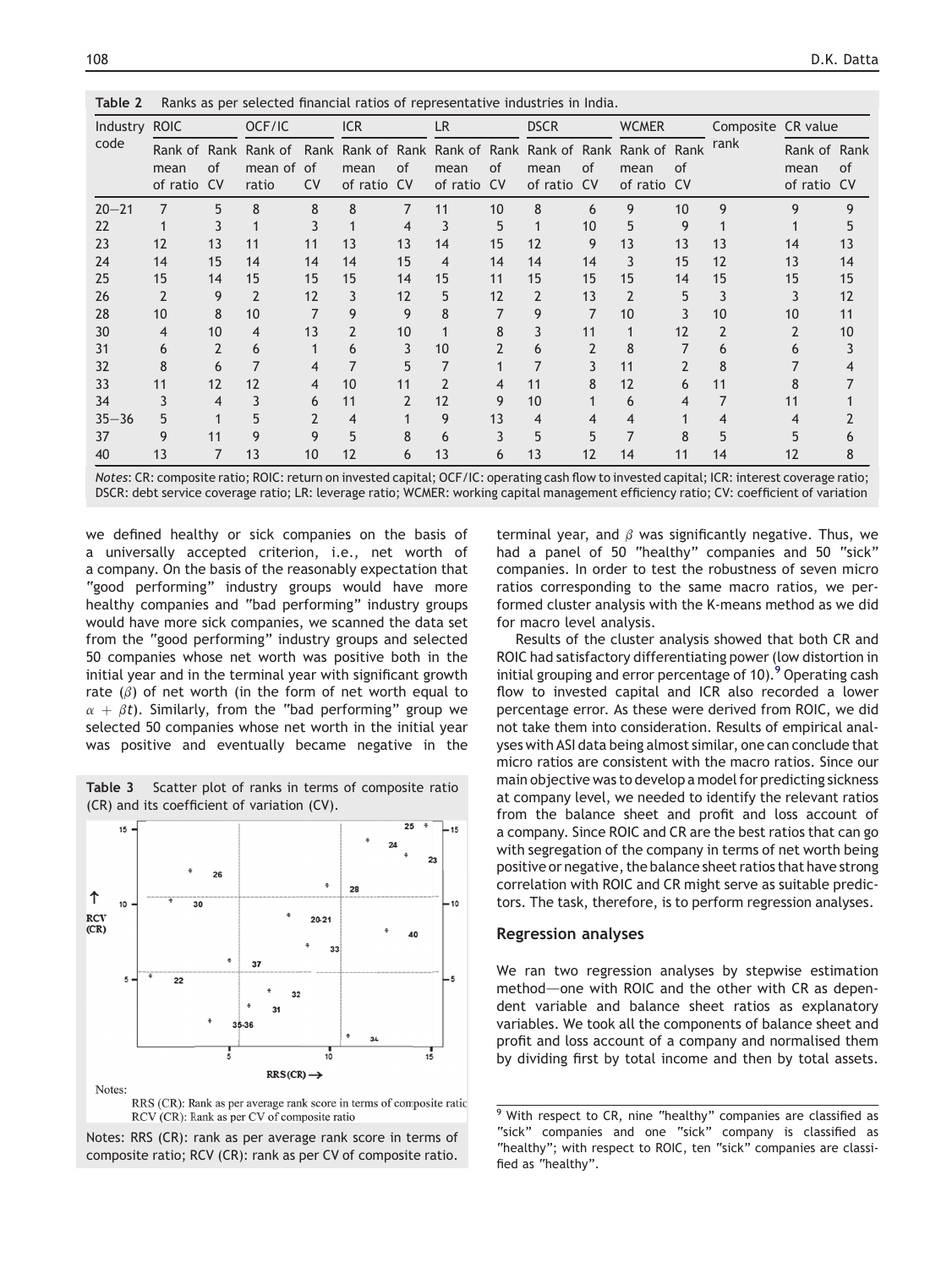<span id="page-4-0"></span>

| Industry ROIC |                     |    | OCF/IC                                                                                               |           | <b>ICR</b><br><b>LR</b> |    |                     | <b>DSCR</b> |                     | <b>WCMER</b> |                     | Composite CR value |      |                                     |    |
|---------------|---------------------|----|------------------------------------------------------------------------------------------------------|-----------|-------------------------|----|---------------------|-------------|---------------------|--------------|---------------------|--------------------|------|-------------------------------------|----|
| code          | mean<br>of ratio CV | of | Rank of Rank Rank of Rank Rank of Rank Rank of Rank Rank of Rank Rank of Rank<br>mean of of<br>ratio | <b>CV</b> | mean<br>of ratio CV     | of | mean<br>of ratio CV | of          | mean<br>of ratio CV | of           | mean<br>of ratio CV | of                 | rank | Rank of Rank<br>mean<br>of ratio CV | of |
| $20 - 21$     | $\overline{7}$      | 5  | 8                                                                                                    | 8         | 8                       | 7  | 11                  | 10          | 8                   | 6            | 9                   | 10                 | 9    | q                                   |    |
| 22            |                     |    |                                                                                                      |           |                         | 4  | 3                   | 5           |                     | 10           | 5                   | 9                  |      |                                     |    |
| 23            | 12                  | 13 | 11                                                                                                   | 11        | 13                      | 13 | 14                  | 15          | 12                  | 9            | 13                  | 13                 | 13   | 14                                  | 13 |
| 24            | 14                  | 15 | 14                                                                                                   | 14        | 14                      | 15 | 4                   | 14          | 14                  | 14           | 3                   | 15                 | 12   | 13                                  | 14 |
| 25            | 15                  | 14 | 15                                                                                                   | 15        | 15                      | 14 | 15                  | 11          | 15                  | 15           | 15                  | 14                 | 15   | 15                                  | 15 |
| 26            |                     | 9  | 2                                                                                                    | 12        | 3                       | 12 | 5                   | 12          | 2                   | 13           | $\mathfrak{p}$      | 5                  | 3    |                                     | 12 |
| 28            | 10                  | 8  | 10                                                                                                   |           | 9                       | 9  |                     |             | 9                   |              | 10                  |                    | 10   | 10                                  | 11 |
| 30            | 4                   | 10 | 4                                                                                                    | 13        | 2                       | 10 |                     | 8           | 3                   | 11           |                     | 12                 | 2    |                                     | 10 |
| 31            | 6                   |    | 6                                                                                                    |           | 6                       |    | 10                  |             | 6                   | 2            | 8                   |                    | 6    |                                     |    |
| 32            | 8                   | 6  |                                                                                                      |           |                         |    |                     |             |                     |              | 11                  |                    | 8    |                                     |    |
| 33            | 11                  | 12 | 12                                                                                                   | 4         | 10                      | 11 |                     | 4           | 11                  | 8            | 12                  | 6                  | 11   |                                     |    |
| 34            |                     |    |                                                                                                      | 6         | 11                      |    | 12                  | 9           | 10                  |              | 6                   |                    |      |                                     |    |
| $35 - 36$     | 5                   |    |                                                                                                      |           | 4                       |    | 9                   | 13          | 4                   |              | 4                   |                    | 4    |                                     |    |
| 37            | 9                   | 11 |                                                                                                      | 9         | 5                       |    | 6                   |             | 5                   |              |                     | R                  |      |                                     |    |
| 40            | 1 <sub>3</sub>      |    | 13                                                                                                   | 10        | 12                      | 6  | 13                  | 6           | 13                  | 12           | 14                  | 11                 | 14   |                                     |    |

Notes: CR: composite ratio; ROIC: return on invested capital; OCF/IC: operating cash flow to invested capital; ICR: interest coverage ratio; DSCR: debt service coverage ratio; LR: leverage ratio; WCMER: working capital management efficiency ratio; CV: coefficient of variation

we defined healthy or sick companies on the basis of a universally accepted criterion, i.e., net worth of a company. On the basis of the reasonably expectation that "good performing" industry groups would have more healthy companies and "bad performing" industry groups would have more sick companies, we scanned the data set from the "good performing" industry groups and selected 50 companies whose net worth was positive both in the initial year and in the terminal year with significant growth rate  $(\beta)$  of net worth (in the form of net worth equal to  $\alpha + \beta t$ ). Similarly, from the "bad performing" group we selected 50 companies whose net worth in the initial year was positive and eventually became negative in the



Table 3 Scatter plot of ranks in terms of composite ratio (CR) and its coefficient of variation (CV).

RCV (CR): Rank as per CV of composite ratio

Notes: RRS (CR): rank as per average rank score in terms of composite ratio; RCV (CR): rank as per CV of composite ratio.

terminal year, and  $\beta$  was significantly negative. Thus, we had a panel of 50 "healthy" companies and 50 "sick" companies. In order to test the robustness of seven micro ratios corresponding to the same macro ratios, we performed cluster analysis with the K-means method as we did for macro level analysis.

Results of the cluster analysis showed that both CR and ROIC had satisfactory differentiating power (low distortion in initial grouping and error percentage of 10).<sup>9</sup> Operating cash flow to invested capital and ICR also recorded a lower percentage error. As these were derived from ROIC, we did not take them into consideration. Results of empirical analyses with ASI data being almost similar, one can conclude that micro ratios are consistent with the macro ratios. Since our main objective was to develop a model for predicting sickness at company level, we needed to identify the relevant ratios from the balance sheet and profit and loss account of a company. Since ROIC and CR are the best ratios that can go with segregation of the company in terms of net worth being positive or negative, the balance sheet ratios that have strong correlation with ROIC and CR might serve as suitable predictors. The task, therefore, is to perform regression analyses.

#### Regression analyses

We ran two regression analyses by stepwise estimation method—one with ROIC and the other with CR as dependent variable and balance sheet ratios as explanatory variables. We took all the components of balance sheet and profit and loss account of a company and normalised them by dividing first by total income and then by total assets.

 $9$  With respect to CR, nine "healthy" companies are classified as "sick" companies and one "sick" company is classified as "healthy"; with respect to ROIC, ten "sick" companies are classified as "healthy".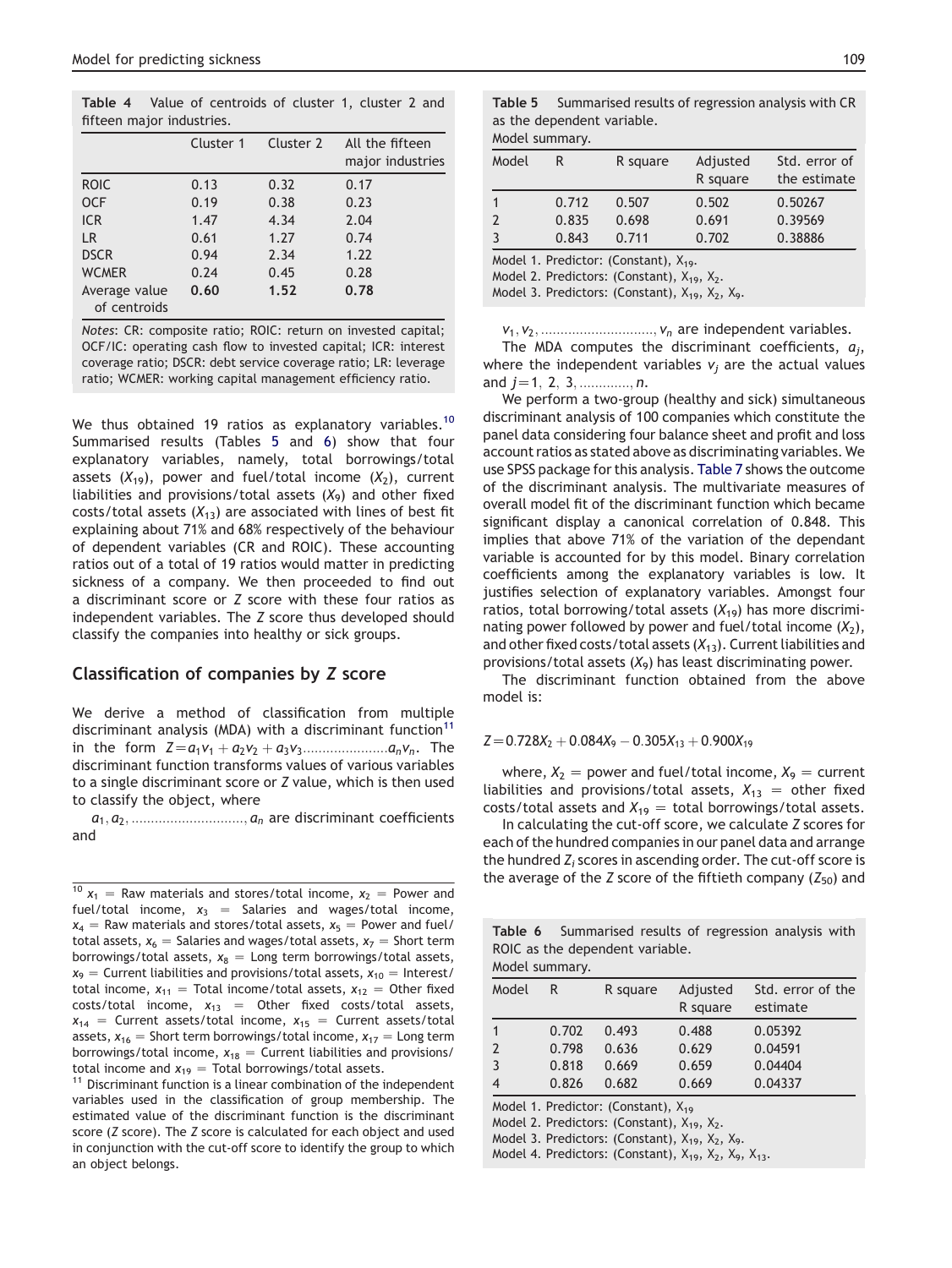Table 4 Value of centroids of cluster 1, cluster 2 and fifteen major industries.

|                               | Cluster 1 | Cluster 2 | All the fifteen<br>major industries |
|-------------------------------|-----------|-----------|-------------------------------------|
| <b>ROIC</b>                   | 0.13      | 0.32      | 0.17                                |
| <b>OCF</b>                    | 0.19      | 0.38      | 0.23                                |
| <b>ICR</b>                    | 1.47      | 4.34      | 2.04                                |
| LR                            | 0.61      | 1.27      | 0.74                                |
| <b>DSCR</b>                   | 0.94      | 2.34      | 1.22                                |
| <b>WCMER</b>                  | 0.24      | 0.45      | 0.28                                |
| Average value<br>of centroids | 0.60      | 1.52      | 0.78                                |

Notes: CR: composite ratio; ROIC: return on invested capital; OCF/IC: operating cash flow to invested capital; ICR: interest coverage ratio; DSCR: debt service coverage ratio; LR: leverage ratio; WCMER: working capital management efficiency ratio.

We thus obtained 19 ratios as explanatory variables.<sup>10</sup> Summarised results (Tables 5 and 6) show that four explanatory variables, namely, total borrowings/total assets  $(X_{19})$ , power and fuel/total income  $(X_2)$ , current liabilities and provisions/total assets  $(X_9)$  and other fixed costs/total assets  $(X_{13})$  are associated with lines of best fit explaining about 71% and 68% respectively of the behaviour of dependent variables (CR and ROIC). These accounting ratios out of a total of 19 ratios would matter in predicting sickness of a company. We then proceeded to find out a discriminant score or Z score with these four ratios as independent variables. The Z score thus developed should classify the companies into healthy or sick groups.

#### Classification of companies by Z score

We derive a method of classification from multiple discriminant analysis (MDA) with a discriminant function<sup>11</sup> in the form  $Z = a_1v_1 + a_2v_2 + a_3v_3 \dots a_nv_n$ . The discriminant function transforms values of various variables to a single discriminant score or Z value, which is then used to classify the object, where

 $a_1, a_2, \ldots \ldots \ldots \ldots \ldots \ldots \ldots \ldots \ldots \ldots \ldots$  are discriminant coefficients and

 $10 x_1$  = Raw materials and stores/total income,  $x_2$  = Power and fuel/total income,  $x_3$  = Salaries and wages/total income,  $x_4$  = Raw materials and stores/total assets,  $x_5$  = Power and fuel/ total assets,  $x_6$  = Salaries and wages/total assets,  $x_7$  = Short term borrowings/total assets,  $x_8$  = Long term borrowings/total assets,  $x_9$  = Current liabilities and provisions/total assets,  $x_{10}$  = Interest/ total income,  $x_{11}$  = Total income/total assets,  $x_{12}$  = Other fixed costs/total income,  $x_{13}$  = Other fixed costs/total assets,  $x_{14}$  = Current assets/total income,  $x_{15}$  = Current assets/total assets,  $x_{16}$  = Short term borrowings/total income,  $x_{17}$  = Long term borrowings/total income,  $x_{18}$  = Current liabilities and provisions/<br>total income and  $x_{19}$  = Total borrowings/total assets.

 $11$  Discriminant function is a linear combination of the independent variables used in the classification of group membership. The estimated value of the discriminant function is the discriminant score (Z score). The Z score is calculated for each object and used in conjunction with the cut-off score to identify the group to which an object belongs.

| <b>Table 5</b> Summarised results of regression analysis with CR |
|------------------------------------------------------------------|
| as the dependent variable.                                       |

#### Model summary.

| Model                                                                                             | R              | R square       | Adjusted<br>R square | Std. error of<br>the estimate |  |  |  |
|---------------------------------------------------------------------------------------------------|----------------|----------------|----------------------|-------------------------------|--|--|--|
| $\mathbf{1}$<br>$\overline{2}$                                                                    | 0.712<br>0.835 | 0.507<br>0.698 | 0.502<br>0.691       | 0.50267<br>0.39569            |  |  |  |
| $\overline{3}$                                                                                    | 0.843          | 0.711          | 0.702                | 0.38886                       |  |  |  |
| Model 1. Predictor: (Constant), $X_{19}$ .<br>Model 2. Predictors: (Constant), $X_{19}$ , $X_2$ . |                |                |                      |                               |  |  |  |

Model 3. Predictors: (Constant),  $X_{19}$ ,  $X_{2}$ ,  $X_{9}$ .

v1; v2; :::::::::::::::::::::::::::::; vn are independent variables.

The MDA computes the discriminant coefficients,  $a_i$ , where the independent variables  $v_i$  are the actual values and  $j=1, 2, 3, \dots, n$ .

We perform a two-group (healthy and sick) simultaneous discriminant analysis of 100 companies which constitute the panel data considering four balance sheet and profit and loss account ratios as stated above as discriminating variables. We use SPSS package for this analysis. [Table 7](#page-6-0) shows the outcome of the discriminant analysis. The multivariate measures of overall model fit of the discriminant function which became significant display a canonical correlation of 0.848. This implies that above 71% of the variation of the dependant variable is accounted for by this model. Binary correlation coefficients among the explanatory variables is low. It justifies selection of explanatory variables. Amongst four ratios, total borrowing/total assets  $(X_{19})$  has more discriminating power followed by power and fuel/total income  $(X_2)$ , and other fixed costs/total assets  $(X_{13})$ . Current liabilities and provisions/total assets  $(X_9)$  has least discriminating power.

The discriminant function obtained from the above model is:

 $Z=0.728X_2 + 0.084X_9 - 0.305X_{13} + 0.900X_{19}$ 

where,  $X_2$  = power and fuel/total income,  $X_9$  = current liabilities and provisions/total assets,  $X_{13} =$  other fixed costs/total assets and  $X_{19} =$  total borrowings/total assets.

In calculating the cut-off score, we calculate Z scores for each of the hundred companies in our panel data and arrange the hundred  $Z_i$  scores in ascending order. The cut-off score is the average of the Z score of the fiftieth company  $(Z_{50})$  and

Table 6 Summarised results of regression analysis with ROIC as the dependent variable.

| Model summary.                                                                                  |       |          |                                                                                                        |                               |  |  |  |  |  |
|-------------------------------------------------------------------------------------------------|-------|----------|--------------------------------------------------------------------------------------------------------|-------------------------------|--|--|--|--|--|
| Model                                                                                           | R     | R square | Adjusted<br>R square                                                                                   | Std. error of the<br>estimate |  |  |  |  |  |
| 1                                                                                               | 0.702 | 0.493    | 0.488                                                                                                  | 0.05392                       |  |  |  |  |  |
| 2                                                                                               | 0.798 | 0.636    | 0.629                                                                                                  | 0.04591                       |  |  |  |  |  |
| 3                                                                                               | 0.818 | 0.669    | 0.659                                                                                                  | 0.04404                       |  |  |  |  |  |
| 4                                                                                               | 0.826 | 0.682    | 0.669                                                                                                  | 0.04337                       |  |  |  |  |  |
| Model 1. Predictor: (Constant), $X_{19}$<br>Model 2. Predictors: (Constant), $X_{19}$ , $X_2$ . |       |          |                                                                                                        |                               |  |  |  |  |  |
| Model 3. Predictors: (Constant), $X_{19}$ , $X_2$ , $X_9$ .                                     |       |          |                                                                                                        |                               |  |  |  |  |  |
|                                                                                                 |       |          | Model 4. Predictors: (Constant), X <sub>19</sub> , X <sub>2</sub> , X <sub>9</sub> , X <sub>13</sub> . |                               |  |  |  |  |  |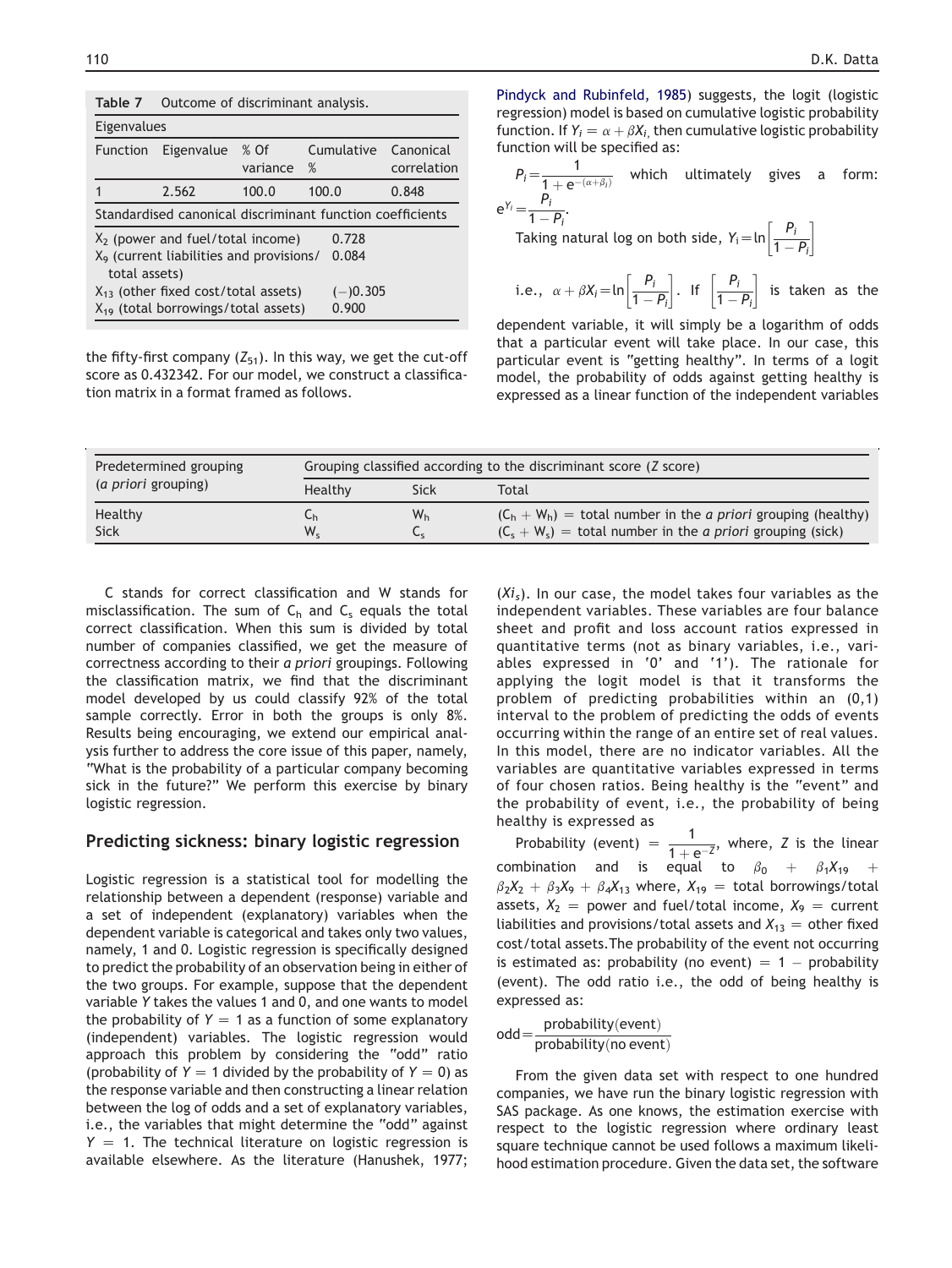<span id="page-6-0"></span>

| Table 7                                                                       | Outcome of discriminant analysis.                         |                    |       |            |                          |  |  |  |  |
|-------------------------------------------------------------------------------|-----------------------------------------------------------|--------------------|-------|------------|--------------------------|--|--|--|--|
| Eigenvalues                                                                   |                                                           |                    |       |            |                          |  |  |  |  |
| <b>Function</b>                                                               | Eigenvalue                                                | $%$ Of<br>variance | $\%$  | Cumulative | Canonical<br>correlation |  |  |  |  |
|                                                                               | 2.562                                                     | 100.0              | 100.0 |            | 0.848                    |  |  |  |  |
|                                                                               | Standardised canonical discriminant function coefficients |                    |       |            |                          |  |  |  |  |
|                                                                               | $X2$ (power and fuel/total income)                        |                    |       | 0.728      |                          |  |  |  |  |
| X <sub>9</sub> (current liabilities and provisions/<br>0.084<br>total assets) |                                                           |                    |       |            |                          |  |  |  |  |
|                                                                               | $X_{13}$ (other fixed cost/total assets)<br>$(-)0.305$    |                    |       |            |                          |  |  |  |  |
|                                                                               | $X_{19}$ (total borrowings/total assets)                  |                    |       | 0.900      |                          |  |  |  |  |

the fifty-first company  $(Z_{51})$ . In this way, we get the cut-off score as 0.432342. For our model, we construct a classification matrix in a format framed as follows.

[Pindyck and Rubinfeld, 1985\)](#page-10-0) suggests, the logit (logistic regression) model is based on cumulative logistic probability function. If  $Y_i = \alpha + \beta X_i$ , then cumulative logistic probability function will be specified as:

$$
P_i = \frac{1}{1 + e^{-(\alpha + \beta_i)}}
$$
 which ultimately gives a form:  
\n
$$
e^{Y_i} = \frac{P_i}{1 - P_i}.
$$
  
\nTaking natural log on both side,  $Y_i = \ln\left[\frac{P_i}{1 - P_i}\right]$   
\ni.e.,  $\alpha + \beta X_i = \ln\left[\frac{P_i}{1 - P_i}\right]$ . If  $\left[\frac{P_i}{1 - P_i}\right]$  is taken as the

dependent variable, it will simply be a logarithm of odds that a particular event will take place. In our case, this particular event is "getting healthy". In terms of a logit model, the probability of odds against getting healthy is expressed as a linear function of the independent variables

| Predetermined grouping      | Grouping classified according to the discriminant score (Z score) |                      |                                                                                                                                               |  |
|-----------------------------|-------------------------------------------------------------------|----------------------|-----------------------------------------------------------------------------------------------------------------------------------------------|--|
| ( <i>a priori</i> grouping) | Healthy                                                           | Sick                 | Total                                                                                                                                         |  |
| Healthy<br><b>Sick</b>      | ⊾h<br>$W_{\rm c}$                                                 | W <sub>h</sub><br>Ъc | $(C_h + W_h)$ = total number in the <i>a priori</i> grouping (healthy)<br>$(C_s + W_s)$ = total number in the <i>a priori</i> grouping (sick) |  |

C stands for correct classification and W stands for misclassification. The sum of  $C_h$  and  $C_s$  equals the total correct classification. When this sum is divided by total number of companies classified, we get the measure of correctness according to their a priori groupings. Following the classification matrix, we find that the discriminant model developed by us could classify 92% of the total sample correctly. Error in both the groups is only 8%. Results being encouraging, we extend our empirical analysis further to address the core issue of this paper, namely, "What is the probability of a particular company becoming sick in the future?" We perform this exercise by binary logistic regression.

#### Predicting sickness: binary logistic regression

Logistic regression is a statistical tool for modelling the relationship between a dependent (response) variable and a set of independent (explanatory) variables when the dependent variable is categorical and takes only two values, namely, 1 and 0. Logistic regression is specifically designed to predict the probability of an observation being in either of the two groups. For example, suppose that the dependent variable Y takes the values 1 and 0, and one wants to model the probability of  $Y = 1$  as a function of some explanatory (independent) variables. The logistic regression would approach this problem by considering the "odd" ratio (probability of  $Y = 1$  divided by the probability of  $Y = 0$ ) as the response variable and then constructing a linear relation between the log of odds and a set of explanatory variables, i.e., the variables that might determine the "odd" against  $Y = 1$ . The technical literature on logistic regression is available elsewhere. As the literature (Hanushek, 1977;

 $(X_i)$ . In our case, the model takes four variables as the independent variables. These variables are four balance sheet and profit and loss account ratios expressed in quantitative terms (not as binary variables, i.e., variables expressed in '0' and '1'). The rationale for applying the logit model is that it transforms the problem of predicting probabilities within an (0,1) interval to the problem of predicting the odds of events occurring within the range of an entire set of real values. In this model, there are no indicator variables. All the variables are quantitative variables expressed in terms of four chosen ratios. Being healthy is the "event" and the probability of event, i.e., the probability of being healthy is expressed as

Probability (event)  $=\frac{1}{\sqrt{2}}$  $\frac{1}{1 + e^{-Z}}$ , where, Z is the linear combination and is equal to  $\beta_0$  +  $\beta_1X_{19}$  +  $\beta_2X_2 + \beta_3X_9 + \beta_4X_{13}$  where,  $X_{19}$  = total borrowings/total assets,  $X_2$  = power and fuel/total income,  $X_9$  = current liabilities and provisions/total assets and  $X_{13} =$  other fixed cost/total assets.The probability of the event not occurring is estimated as: probability (no event)  $= 1 -$  probability (event). The odd ratio i.e., the odd of being healthy is expressed as:

 $odd = \frac{probability(event)}{$  $probability(no event)$ 

From the given data set with respect to one hundred companies, we have run the binary logistic regression with SAS package. As one knows, the estimation exercise with respect to the logistic regression where ordinary least square technique cannot be used follows a maximum likelihood estimation procedure. Given the data set, the software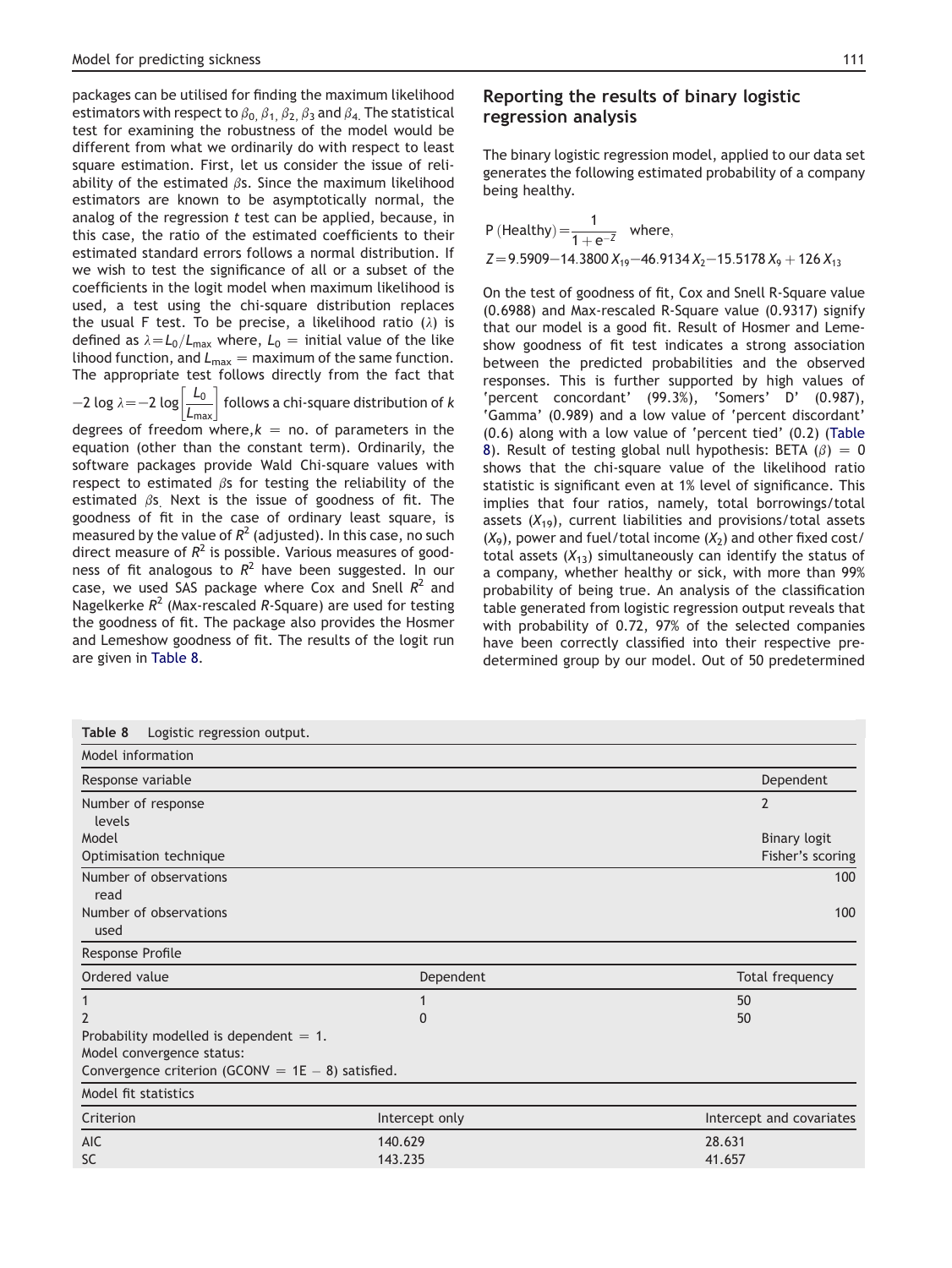packages can be utilised for finding the maximum likelihood estimators with respect to  $\beta_0$ ,  $\beta_1$ ,  $\beta_2$ ,  $\beta_3$  and  $\beta_4$ . The statistical test for examining the robustness of the model would be different from what we ordinarily do with respect to least square estimation. First, let us consider the issue of reliability of the estimated  $\beta$ s. Since the maximum likelihood estimators are known to be asymptotically normal, the analog of the regression  $t$  test can be applied, because, in this case, the ratio of the estimated coefficients to their estimated standard errors follows a normal distribution. If we wish to test the significance of all or a subset of the coefficients in the logit model when maximum likelihood is used, a test using the chi-square distribution replaces the usual F test. To be precise, a likelihood ratio  $(\lambda)$  is defined as  $\lambda = L_0/L_{\text{max}}$  where,  $L_0 =$  initial value of the like lihood function, and  $L_{\text{max}} = \text{maximum of the same function.}$ The appropriate test follows directly from the fact that

 $-2$  log  $\lambda$   $=$   $-2$  log  $\left[ \frac{L_0}{L_{\sf max}} \right]$  follows a chi-square distribution of  $k$ 

degrees of freedom where, $k =$  no. of parameters in the equation (other than the constant term). Ordinarily, the software packages provide Wald Chi-square values with respect to estimated  $\beta$ s for testing the reliability of the estimated  $\beta$ s. Next is the issue of goodness of fit. The goodness of fit in the case of ordinary least square, is measured by the value of  $R^2$  (adjusted). In this case, no such direct measure of  $R^2$  is possible. Various measures of goodness of fit analogous to  $R^2$  have been suggested. In our case, we used SAS package where Cox and Snell  $R^2$  and Nagelkerke  $R^2$  (Max-rescaled R-Square) are used for testing the goodness of fit. The package also provides the Hosmer and Lemeshow goodness of fit. The results of the logit run are given in Table 8.

# Reporting the results of binary logistic regression analysis

The binary logistic regression model, applied to our data set generates the following estimated probability of a company being healthy.

P (Healthy) = 
$$
\frac{1}{1 + e^{-z}}
$$
 where,  
Z=9.5909-14.3800 X<sub>19</sub>-46.9134 X<sub>2</sub>-15.5178 X<sub>9</sub> + 126 X<sub>13</sub>

On the test of goodness of fit, Cox and Snell R-Square value (0.6988) and Max-rescaled R-Square value (0.9317) signify that our model is a good fit. Result of Hosmer and Lemeshow goodness of fit test indicates a strong association between the predicted probabilities and the observed responses. This is further supported by high values of 'percent concordant' (99.3%), 'Somers' D' (0.987), 'Gamma' (0.989) and a low value of 'percent discordant' (0.6) along with a low value of 'percent tied' (0.2) (Table 8). Result of testing global null hypothesis: BETA  $(\beta) = 0$ shows that the chi-square value of the likelihood ratio statistic is significant even at 1% level of significance. This implies that four ratios, namely, total borrowings/total assets  $(X_{19})$ , current liabilities and provisions/total assets  $(X_9)$ , power and fuel/total income  $(X_2)$  and other fixed cost/ total assets  $(X_{13})$  simultaneously can identify the status of a company, whether healthy or sick, with more than 99% probability of being true. An analysis of the classification table generated from logistic regression output reveals that with probability of 0.72, 97% of the selected companies have been correctly classified into their respective predetermined group by our model. Out of 50 predetermined

| Logistic regression output.<br>Table 8               |                |                          |
|------------------------------------------------------|----------------|--------------------------|
| Model information                                    |                |                          |
| Response variable                                    |                | Dependent                |
| Number of response                                   |                | $\overline{2}$           |
| levels                                               |                |                          |
| Model                                                |                | <b>Binary logit</b>      |
| Optimisation technique                               |                | Fisher's scoring         |
| Number of observations                               |                | 100                      |
| read                                                 |                |                          |
| Number of observations                               | 100            |                          |
| used                                                 |                |                          |
| Response Profile                                     |                |                          |
| Ordered value                                        | Dependent      | Total frequency          |
| 1                                                    | 1              | 50                       |
| $\overline{2}$                                       | $\Omega$       | 50                       |
| Probability modelled is dependent $= 1$ .            |                |                          |
| Model convergence status:                            |                |                          |
| Convergence criterion (GCONV = $1E - 8$ ) satisfied. |                |                          |
| Model fit statistics                                 |                |                          |
| Criterion                                            | Intercept only | Intercept and covariates |
| <b>AIC</b>                                           | 140.629        | 28.631                   |
| <b>SC</b>                                            | 143.235        | 41.657                   |
|                                                      |                |                          |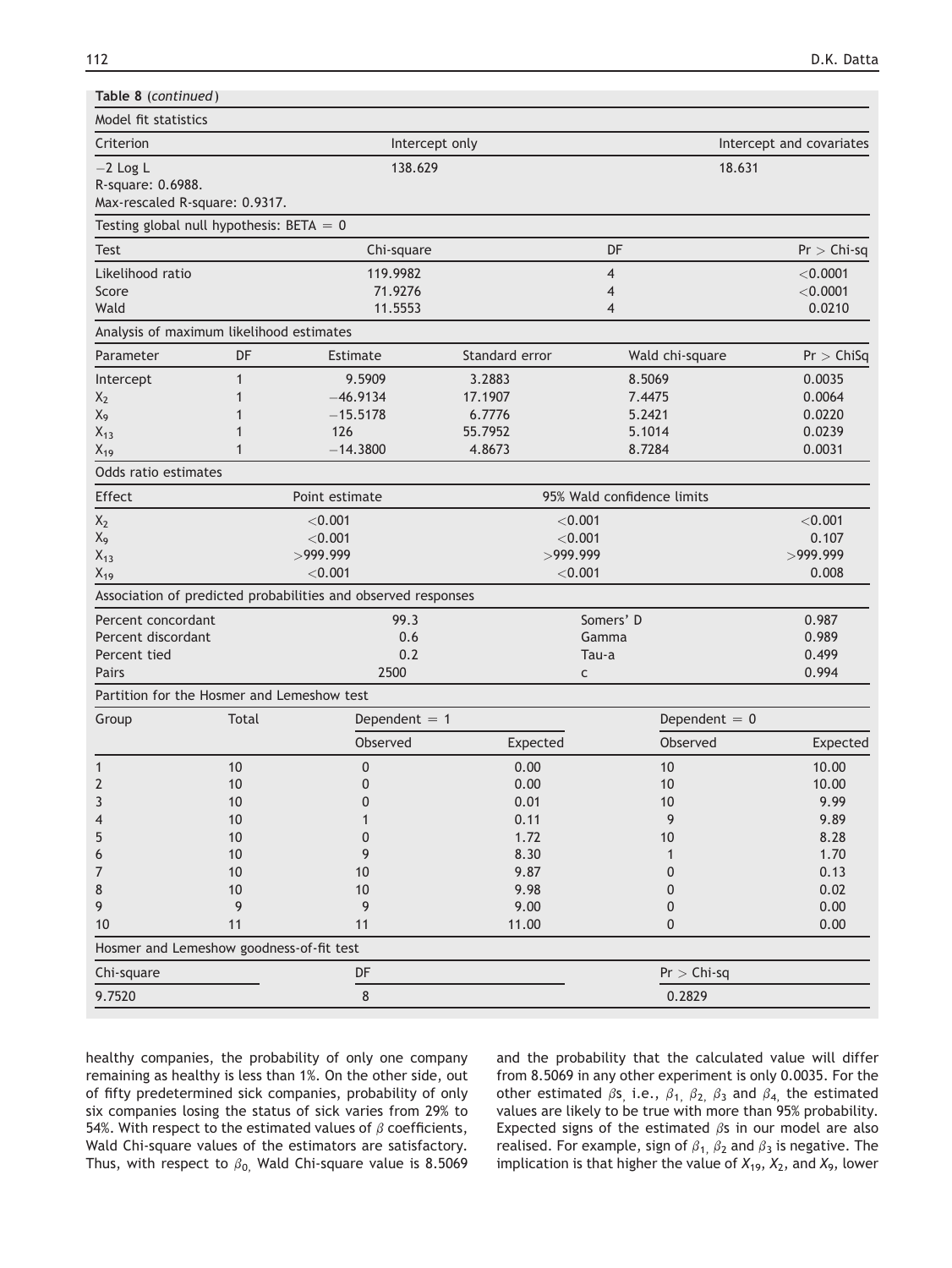| Table 8 (continued)                        |              |                                                               |                |                            |                          |  |  |
|--------------------------------------------|--------------|---------------------------------------------------------------|----------------|----------------------------|--------------------------|--|--|
| Model fit statistics                       |              |                                                               |                |                            |                          |  |  |
| Criterion                                  |              | Intercept only                                                |                |                            | Intercept and covariates |  |  |
| $-2$ Log L                                 |              | 138.629                                                       |                | 18.631                     |                          |  |  |
| R-square: 0.6988.                          |              |                                                               |                |                            |                          |  |  |
| Max-rescaled R-square: 0.9317.             |              |                                                               |                |                            |                          |  |  |
| Testing global null hypothesis: BETA = $0$ |              |                                                               |                |                            |                          |  |  |
| <b>Test</b>                                |              | Chi-square                                                    |                | DF                         | $Pr >$ Chi-sq            |  |  |
| Likelihood ratio                           |              | 119.9982                                                      |                | $\overline{4}$             | < 0.0001                 |  |  |
| Score                                      |              | 71.9276                                                       |                | 4                          | $<$ 0.0001               |  |  |
| Wald                                       |              | 11.5553                                                       |                | 4                          | 0.0210                   |  |  |
| Analysis of maximum likelihood estimates   |              |                                                               |                |                            |                          |  |  |
| Parameter                                  | DF           | Estimate                                                      | Standard error | Wald chi-square            | Pr > ChiSq               |  |  |
| Intercept                                  | 1            | 9.5909                                                        | 3.2883         | 8.5069                     | 0.0035                   |  |  |
| $X_2$                                      | 1            | $-46.9134$                                                    | 17.1907        | 7.4475                     | 0.0064                   |  |  |
| $X_9$                                      | 1            | $-15.5178$                                                    | 6.7776         | 5.2421                     | 0.0220                   |  |  |
| $X_{13}$                                   | 1            | 126                                                           | 55.7952        | 5.1014                     | 0.0239                   |  |  |
| $X_{19}$                                   | $\mathbf{1}$ | $-14.3800$                                                    | 4.8673         | 8.7284                     | 0.0031                   |  |  |
| Odds ratio estimates                       |              |                                                               |                |                            |                          |  |  |
| Effect                                     |              | Point estimate                                                |                | 95% Wald confidence limits |                          |  |  |
| $X_2$                                      |              | < 0.001                                                       | < 0.001        |                            | < 0.001                  |  |  |
| $X_9$                                      |              | < 0.001                                                       | < 0.001        |                            | 0.107                    |  |  |
| $X_{13}$                                   |              | >999.999                                                      |                | >999.999                   |                          |  |  |
| $X_{19}$                                   |              | < 0.001                                                       | $<$ 0.001      | 0.008                      |                          |  |  |
|                                            |              | Association of predicted probabilities and observed responses |                |                            |                          |  |  |
| Percent concordant                         |              | 99.3                                                          |                | Somers' D                  | 0.987                    |  |  |
| Percent discordant                         |              | 0.6                                                           | Gamma          | 0.989                      |                          |  |  |
| Percent tied                               |              | 0.2                                                           |                | Tau-a                      | 0.499                    |  |  |
| Pairs                                      |              | 2500                                                          | c              |                            | 0.994                    |  |  |
| Partition for the Hosmer and Lemeshow test |              |                                                               |                |                            |                          |  |  |
| Group                                      | Total        | Dependent $= 1$                                               |                | Dependent $= 0$            |                          |  |  |
|                                            |              | Observed                                                      | Expected       | Observed                   | Expected                 |  |  |
| 1                                          | 10           | 0                                                             | 0.00           | 10                         | 10.00                    |  |  |
| $\overline{2}$                             | 10           | 0                                                             | 0.00           | 10                         | 10.00                    |  |  |
| ζ                                          | $10$         | $\Omega$                                                      | 0.01           | $10$                       | 9.99                     |  |  |
| 4                                          | 10           | 1                                                             | 0.11           | 9                          | 9.89                     |  |  |
| 5                                          | 10           | 0                                                             | 1.72           | 10                         | 8.28                     |  |  |
| 6                                          | 10           | 9                                                             | 8.30           | $\mathbf{1}$               | 1.70                     |  |  |
| 7                                          | $10$         | 10                                                            | 9.87           | 0                          | 0.13                     |  |  |
| 8                                          | 10           | 10                                                            | 9.98           | 0                          | 0.02                     |  |  |
| 9                                          | 9            | 9                                                             | 9.00           | 0                          | 0.00                     |  |  |
| 10                                         | 11           | 11                                                            | 11.00          | 0                          | 0.00                     |  |  |
| Hosmer and Lemeshow goodness-of-fit test   |              |                                                               |                |                            |                          |  |  |
| Chi-square                                 |              | DF                                                            |                | $Pr >$ Chi-sq              |                          |  |  |
| 9.7520                                     |              | $\bf 8$                                                       |                | 0.2829                     |                          |  |  |

healthy companies, the probability of only one company remaining as healthy is less than 1%. On the other side, out of fifty predetermined sick companies, probability of only six companies losing the status of sick varies from 29% to 54%. With respect to the estimated values of  $\beta$  coefficients, Wald Chi-square values of the estimators are satisfactory. Thus, with respect to  $\beta_0$ , Wald Chi-square value is 8.5069 and the probability that the calculated value will differ from 8.5069 in any other experiment is only 0.0035. For the other estimated  $\beta s$ , i.e.,  $\beta_1$ ,  $\beta_2$ ,  $\beta_3$  and  $\beta_4$ , the estimated values are likely to be true with more than 95% probability. Expected signs of the estimated  $\beta$ s in our model are also realised. For example, sign of  $\beta_1$ ,  $\beta_2$  and  $\beta_3$  is negative. The implication is that higher the value of  $X_1$ 9,  $X_2$ , and  $X_9$ , lower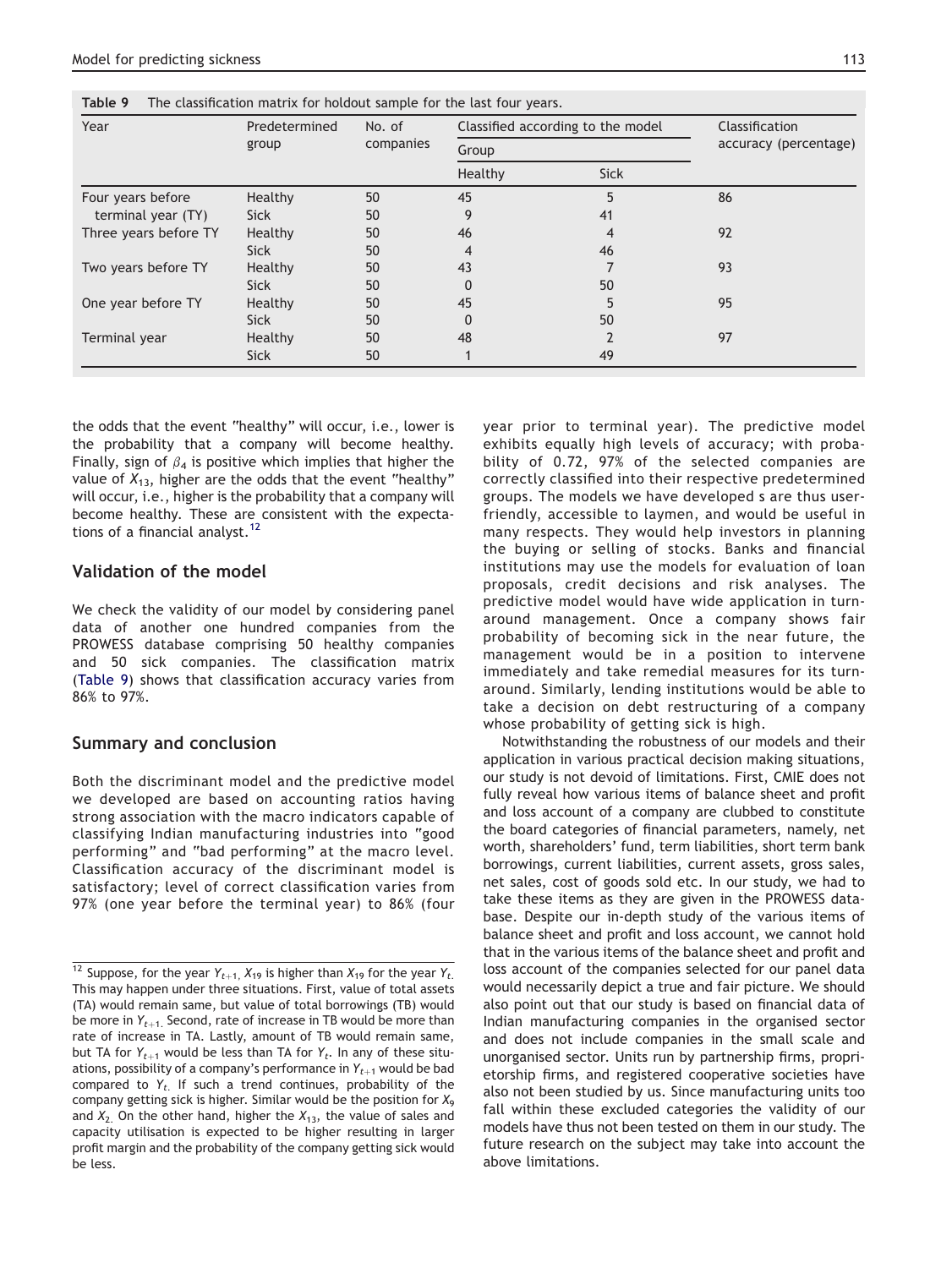the odds that the event "healthy" will occur, i.e., lower is the probability that a company will become healthy. Finally, sign of  $\beta_4$  is positive which implies that higher the value of  $X_{13}$ , higher are the odds that the event "healthy" will occur, i.e., higher is the probability that a company will become healthy. These are consistent with the expectations of a financial analyst.<sup>12</sup>

#### Validation of the model

We check the validity of our model by considering panel data of another one hundred companies from the PROWESS database comprising 50 healthy companies and 50 sick companies. The classification matrix (Table 9) shows that classification accuracy varies from 86% to 97%.

## Summary and conclusion

Both the discriminant model and the predictive model we developed are based on accounting ratios having strong association with the macro indicators capable of classifying Indian manufacturing industries into "good performing" and "bad performing" at the macro level. Classification accuracy of the discriminant model is satisfactory; level of correct classification varies from 97% (one year before the terminal year) to 86% (four year prior to terminal year). The predictive model exhibits equally high levels of accuracy; with probability of 0.72, 97% of the selected companies are correctly classified into their respective predetermined groups. The models we have developed s are thus userfriendly, accessible to laymen, and would be useful in many respects. They would help investors in planning the buying or selling of stocks. Banks and financial institutions may use the models for evaluation of loan proposals, credit decisions and risk analyses. The predictive model would have wide application in turnaround management. Once a company shows fair probability of becoming sick in the near future, the management would be in a position to intervene immediately and take remedial measures for its turnaround. Similarly, lending institutions would be able to take a decision on debt restructuring of a company whose probability of getting sick is high.

Notwithstanding the robustness of our models and their application in various practical decision making situations, our study is not devoid of limitations. First, CMIE does not fully reveal how various items of balance sheet and profit and loss account of a company are clubbed to constitute the board categories of financial parameters, namely, net worth, shareholders' fund, term liabilities, short term bank borrowings, current liabilities, current assets, gross sales, net sales, cost of goods sold etc. In our study, we had to take these items as they are given in the PROWESS database. Despite our in-depth study of the various items of balance sheet and profit and loss account, we cannot hold that in the various items of the balance sheet and profit and loss account of the companies selected for our panel data would necessarily depict a true and fair picture. We should also point out that our study is based on financial data of Indian manufacturing companies in the organised sector and does not include companies in the small scale and unorganised sector. Units run by partnership firms, proprietorship firms, and registered cooperative societies have also not been studied by us. Since manufacturing units too fall within these excluded categories the validity of our models have thus not been tested on them in our study. The future research on the subject may take into account the above limitations.

| Year                  | Predetermined<br>group | No. of<br>companies | Classified according to the model<br>Group |         | Classification<br>accuracy (percentage) |
|-----------------------|------------------------|---------------------|--------------------------------------------|---------|-----------------------------------------|
|                       |                        |                     |                                            |         |                                         |
|                       |                        |                     | Four years before                          | Healthy | 50                                      |
| terminal year (TY)    | <b>Sick</b>            | 50                  | 9                                          | 41      |                                         |
| Three years before TY | Healthy                | 50                  | 46                                         | 4       | 92                                      |
|                       | <b>Sick</b>            | 50                  | 4                                          | 46      |                                         |
| Two years before TY   | Healthy                | 50                  | 43                                         |         | 93                                      |
|                       | <b>Sick</b>            | 50                  | 0                                          | 50      |                                         |
| One year before TY    | Healthy                | 50                  | 45                                         | 5       | 95                                      |
|                       | <b>Sick</b>            | 50                  | 0                                          | 50      |                                         |
| Terminal year         | Healthy                | 50                  | 48                                         |         | 97                                      |
|                       | <b>Sick</b>            | 50                  |                                            | 49      |                                         |

<sup>&</sup>lt;sup>12</sup> Suppose, for the year  $Y_{t+1}$ ,  $X_{19}$  is higher than  $X_{19}$  for the year  $Y_{t}$ . This may happen under three situations. First, value of total assets (TA) would remain same, but value of total borrowings (TB) would be more in  $Y_{t+1}$ . Second, rate of increase in TB would be more than rate of increase in TA. Lastly, amount of TB would remain same, but TA for  $Y_{t+1}$  would be less than TA for  $Y_t$ . In any of these situations, possibility of a company's performance in  $Y_{t+1}$  would be bad compared to  $Y_t$ . If such a trend continues, probability of the company getting sick is higher. Similar would be the position for  $X_9$ and  $X_2$ . On the other hand, higher the  $X_{13}$ , the value of sales and capacity utilisation is expected to be higher resulting in larger profit margin and the probability of the company getting sick would be less.